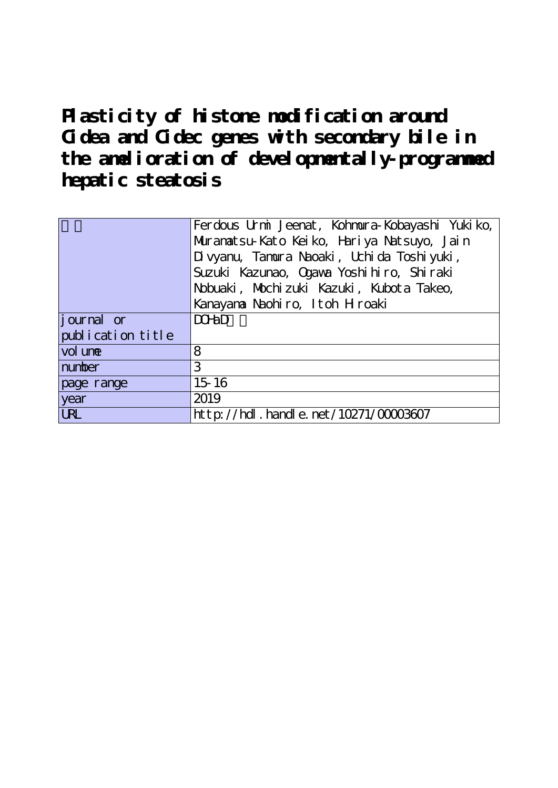Plasticity of histone modification around **Cidea and Cidec genes with secondary bile in the amelioration of developmentally-programmed hepatic steatosis**

|                    | Ferdous Urmi Jeenat, Kohmura-Kobayashi Yukiko, |
|--------------------|------------------------------------------------|
|                    | Muranatsu-Kato Keiko, Hariya Natsuyo, Jain     |
|                    | Divyanu, Tamura Naoaki, Uchida Toshiyuki,      |
|                    | Suzuki Kazunao, Ogawa Yoshi hiro, Shiraki      |
|                    | Nobuaki, Mochi zuki Kazuki, Kubot a Takeo,     |
|                    | Kanayana Naohiro, Itoh Hroaki                  |
| <i>j</i> ournal or | $D$ CH <sub>a</sub> D                          |
| publication title  |                                                |
| vol une            | 8                                              |
| number             | 3                                              |
| page range         | $15 - 16$                                      |
| year               | 2019                                           |
| <b>URL</b>         | http://hdl.handle.net/10271/00003607           |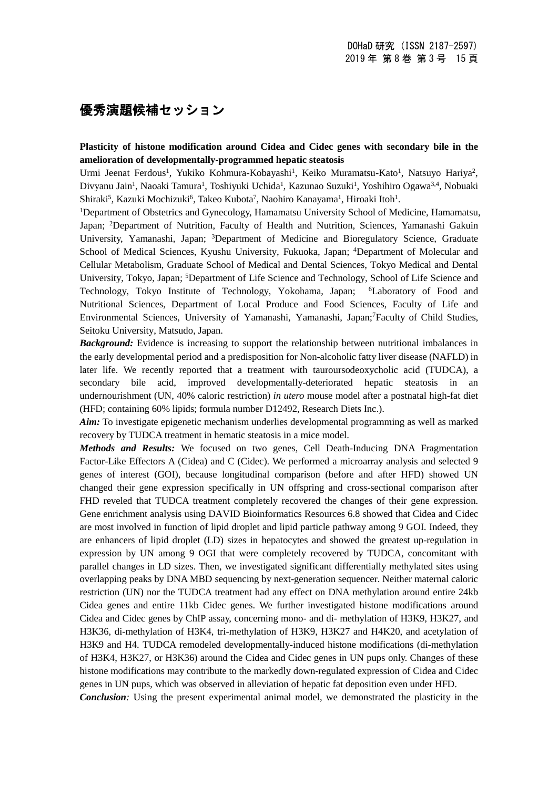## 優秀演題候補セッション

## **Plasticity of histone modification around Cidea and Cidec genes with secondary bile in the amelioration of developmentally-programmed hepatic steatosis**

Urmi Jeenat Ferdous<sup>1</sup>, Yukiko Kohmura-Kobayashi<sup>1</sup>, Keiko Muramatsu-Kato<sup>1</sup>, Natsuyo Hariya<sup>2</sup>, Divyanu Jain<sup>1</sup>, Naoaki Tamura<sup>1</sup>, Toshiyuki Uchida<sup>1</sup>, Kazunao Suzuki<sup>1</sup>, Yoshihiro Ogawa<sup>3,4</sup>, Nobuaki Shiraki<sup>5</sup>, Kazuki Mochizuki<sup>6</sup>, Takeo Kubota<sup>7</sup>, Naohiro Kanayama<sup>1</sup>, Hiroaki Itoh<sup>1</sup>.

1Department of Obstetrics and Gynecology, Hamamatsu University School of Medicine, Hamamatsu, Japan; 2Department of Nutrition, Faculty of Health and Nutrition, Sciences, Yamanashi Gakuin University, Yamanashi, Japan; <sup>3</sup>Department of Medicine and Bioregulatory Science, Graduate School of Medical Sciences, Kyushu University, Fukuoka, Japan; <sup>4</sup>Department of Molecular and Cellular Metabolism, Graduate School of Medical and Dental Sciences, Tokyo Medical and Dental University, Tokyo, Japan; <sup>5</sup>Department of Life Science and Technology, School of Life Science and Technology, Tokyo Institute of Technology, Yokohama, Japan; 6Laboratory of Food and Nutritional Sciences, Department of Local Produce and Food Sciences, Faculty of Life and Environmental Sciences, University of Yamanashi, Yamanashi, Japan;7Faculty of Child Studies, Seitoku University, Matsudo, Japan.

*Background:* Evidence is increasing to support the relationship between nutritional imbalances in the early developmental period and a predisposition for Non-alcoholic fatty liver disease (NAFLD) in later life. We recently reported that a treatment with tauroursodeoxycholic acid (TUDCA), a secondary bile acid, improved developmentally-deteriorated hepatic steatosis in an undernourishment (UN, 40% caloric restriction) *in utero* mouse model after a postnatal high-fat diet (HFD; containing 60% lipids; formula number D12492, Research Diets Inc.).

*Aim:* To investigate epigenetic mechanism underlies developmental programming as well as marked recovery by TUDCA treatment in hematic steatosis in a mice model.

*Methods and Results:* We focused on two genes, Cell Death-Inducing DNA Fragmentation Factor-Like Effectors A (Cidea) and C (Cidec). We performed a microarray analysis and selected 9 genes of interest (GOI), because longitudinal comparison (before and after HFD) showed UN changed their gene expression specifically in UN offspring and cross-sectional comparison after FHD reveled that TUDCA treatment completely recovered the changes of their gene expression. Gene enrichment analysis using DAVID Bioinformatics Resources 6.8 showed that Cidea and Cidec are most involved in function of lipid droplet and lipid particle pathway among 9 GOI. Indeed, they are enhancers of lipid droplet (LD) sizes in hepatocytes and showed the greatest up-regulation in expression by UN among 9 OGI that were completely recovered by TUDCA, concomitant with parallel changes in LD sizes. Then, we investigated significant differentially methylated sites using overlapping peaks by DNA MBD sequencing by next-generation sequencer. Neither maternal caloric restriction (UN) nor the TUDCA treatment had any effect on DNA methylation around entire 24kb Cidea genes and entire 11kb Cidec genes. We further investigated histone modifications around Cidea and Cidec genes by ChIP assay, concerning mono- and di- methylation of H3K9, H3K27, and H3K36, di-methylation of H3K4, tri-methylation of H3K9, H3K27 and H4K20, and acetylation of H3K9 and H4. TUDCA remodeled developmentally-induced histone modifications (di-methylation of H3K4, H3K27, or H3K36) around the Cidea and Cidec genes in UN pups only. Changes of these histone modifications may contribute to the markedly down-regulated expression of Cidea and Cidec genes in UN pups, which was observed in alleviation of hepatic fat deposition even under HFD. *Conclusion:* Using the present experimental animal model, we demonstrated the plasticity in the